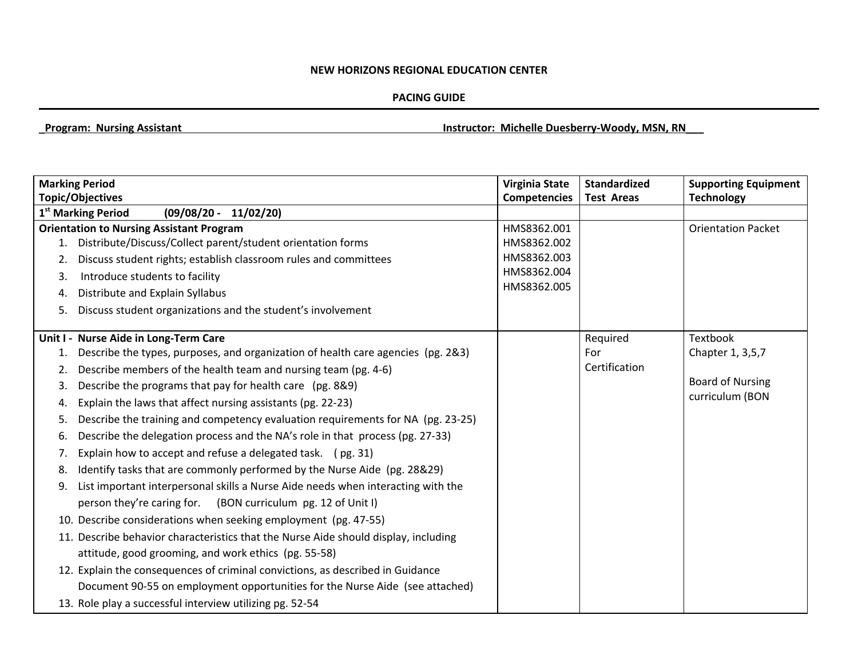## **NEW HORIZONS REGIONAL EDUCATION CENTER**

## **PACING GUIDE**

\_**Program: Nursing Assistant Instructor: Michelle Duesberry-Woody, MSN, RN\_\_\_**

|    | <b>Marking Period</b>                                                               | <b>Virginia State</b> | <b>Standardized</b> | <b>Supporting Equipment</b> |
|----|-------------------------------------------------------------------------------------|-----------------------|---------------------|-----------------------------|
|    | <b>Topic/Objectives</b>                                                             | <b>Competencies</b>   | <b>Test Areas</b>   | <b>Technology</b>           |
|    | 1 <sup>st</sup> Marking Period<br>$(09/08/20 -$<br>11/02/20                         |                       |                     |                             |
|    | <b>Orientation to Nursing Assistant Program</b>                                     | HMS8362.001           |                     | <b>Orientation Packet</b>   |
| 1. | Distribute/Discuss/Collect parent/student orientation forms                         | HMS8362.002           |                     |                             |
| 2. | Discuss student rights; establish classroom rules and committees                    | HMS8362.003           |                     |                             |
| 3. | Introduce students to facility                                                      | HMS8362.004           |                     |                             |
| 4. | Distribute and Explain Syllabus                                                     | HMS8362.005           |                     |                             |
| 5. | Discuss student organizations and the student's involvement                         |                       |                     |                             |
|    | Unit I - Nurse Aide in Long-Term Care                                               |                       | Required            | Textbook                    |
| 1. | Describe the types, purposes, and organization of health care agencies (pg. 2&3)    |                       | For                 | Chapter 1, 3,5,7            |
| 2. | Describe members of the health team and nursing team (pg. 4-6)                      |                       | Certification       |                             |
| 3. | Describe the programs that pay for health care (pg. 8&9)                            |                       |                     | <b>Board of Nursing</b>     |
| 4. | Explain the laws that affect nursing assistants (pg. 22-23)                         |                       |                     | curriculum (BON             |
| 5. | Describe the training and competency evaluation requirements for NA (pg. 23-25)     |                       |                     |                             |
| 6. | Describe the delegation process and the NA's role in that process (pg. 27-33)       |                       |                     |                             |
| 7. | Explain how to accept and refuse a delegated task. (pg. 31)                         |                       |                     |                             |
| 8. | Identify tasks that are commonly performed by the Nurse Aide (pg. 28&29)            |                       |                     |                             |
| 9. | List important interpersonal skills a Nurse Aide needs when interacting with the    |                       |                     |                             |
|    | person they're caring for. (BON curriculum pg. 12 of Unit I)                        |                       |                     |                             |
|    | 10. Describe considerations when seeking employment (pg. 47-55)                     |                       |                     |                             |
|    | 11. Describe behavior characteristics that the Nurse Aide should display, including |                       |                     |                             |
|    | attitude, good grooming, and work ethics (pg. 55-58)                                |                       |                     |                             |
|    | 12. Explain the consequences of criminal convictions, as described in Guidance      |                       |                     |                             |
|    | Document 90-55 on employment opportunities for the Nurse Aide (see attached)        |                       |                     |                             |
|    | 13. Role play a successful interview utilizing pg. 52-54                            |                       |                     |                             |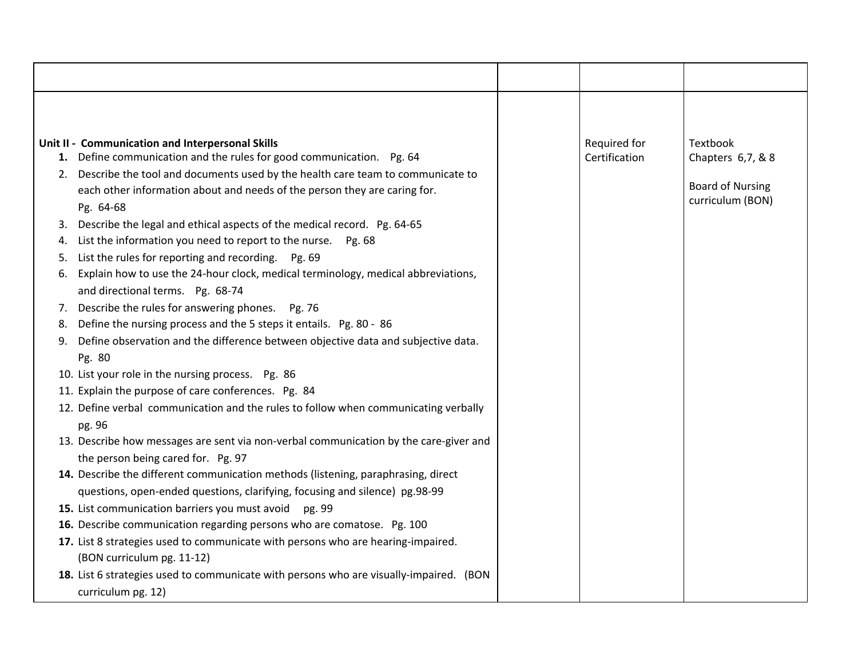|    | Unit II - Communication and Interpersonal Skills                                       | Required for  | Textbook                |
|----|----------------------------------------------------------------------------------------|---------------|-------------------------|
| 1. | Define communication and the rules for good communication. Pg. 64                      | Certification | Chapters 6,7, & 8       |
| 2. | Describe the tool and documents used by the health care team to communicate to         |               |                         |
|    | each other information about and needs of the person they are caring for.              |               | <b>Board of Nursing</b> |
|    | Pg. 64-68                                                                              |               | curriculum (BON)        |
| 3. | Describe the legal and ethical aspects of the medical record. Pg. 64-65                |               |                         |
| 4. | List the information you need to report to the nurse. Pg. 68                           |               |                         |
| 5. | List the rules for reporting and recording. Pg. 69                                     |               |                         |
| 6. | Explain how to use the 24-hour clock, medical terminology, medical abbreviations,      |               |                         |
|    | and directional terms. Pg. 68-74                                                       |               |                         |
| 7. | Describe the rules for answering phones. Pg. 76                                        |               |                         |
| 8. | Define the nursing process and the 5 steps it entails. Pg. 80 - 86                     |               |                         |
| 9. | Define observation and the difference between objective data and subjective data.      |               |                         |
|    | Pg. 80                                                                                 |               |                         |
|    | 10. List your role in the nursing process. Pg. 86                                      |               |                         |
|    | 11. Explain the purpose of care conferences. Pg. 84                                    |               |                         |
|    | 12. Define verbal communication and the rules to follow when communicating verbally    |               |                         |
|    | pg. 96                                                                                 |               |                         |
|    | 13. Describe how messages are sent via non-verbal communication by the care-giver and  |               |                         |
|    | the person being cared for. Pg. 97                                                     |               |                         |
|    | 14. Describe the different communication methods (listening, paraphrasing, direct      |               |                         |
|    | questions, open-ended questions, clarifying, focusing and silence) pg.98-99            |               |                         |
|    | 15. List communication barriers you must avoid<br>pg. 99                               |               |                         |
|    | 16. Describe communication regarding persons who are comatose. Pg. 100                 |               |                         |
|    | 17. List 8 strategies used to communicate with persons who are hearing-impaired.       |               |                         |
|    | (BON curriculum pg. 11-12)                                                             |               |                         |
|    | 18. List 6 strategies used to communicate with persons who are visually-impaired. (BON |               |                         |
|    | curriculum pg. 12)                                                                     |               |                         |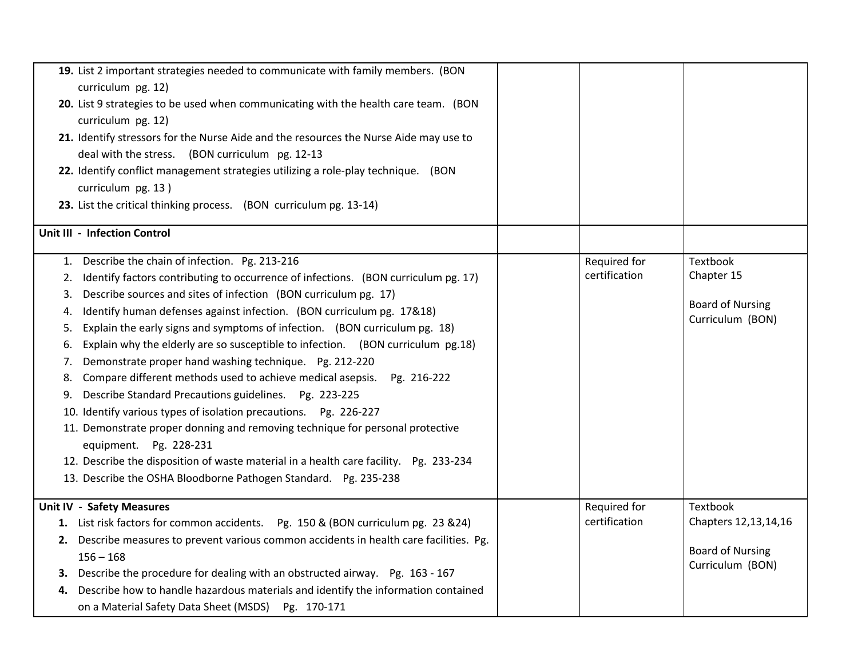| 19. List 2 important strategies needed to communicate with family members. (BON<br>curriculum pg. 12)<br>20. List 9 strategies to be used when communicating with the health care team. (BON<br>curriculum pg. 12)<br>21. Identify stressors for the Nurse Aide and the resources the Nurse Aide may use to<br>deal with the stress. (BON curriculum pg. 12-13<br>22. Identify conflict management strategies utilizing a role-play technique. (BON<br>curriculum pg. 13)<br>23. List the critical thinking process. (BON curriculum pg. 13-14)                                                                                                                                                                                                                                                                                                                                                                                                                                                                                               |                               |                                                                                 |
|-----------------------------------------------------------------------------------------------------------------------------------------------------------------------------------------------------------------------------------------------------------------------------------------------------------------------------------------------------------------------------------------------------------------------------------------------------------------------------------------------------------------------------------------------------------------------------------------------------------------------------------------------------------------------------------------------------------------------------------------------------------------------------------------------------------------------------------------------------------------------------------------------------------------------------------------------------------------------------------------------------------------------------------------------|-------------------------------|---------------------------------------------------------------------------------|
| Unit III - Infection Control                                                                                                                                                                                                                                                                                                                                                                                                                                                                                                                                                                                                                                                                                                                                                                                                                                                                                                                                                                                                                  |                               |                                                                                 |
| Describe the chain of infection. Pg. 213-216<br>1.<br>Identify factors contributing to occurrence of infections. (BON curriculum pg. 17)<br>2.<br>Describe sources and sites of infection (BON curriculum pg. 17)<br>3.<br>Identify human defenses against infection. (BON curriculum pg. 17&18)<br>4.<br>Explain the early signs and symptoms of infection. (BON curriculum pg. 18)<br>5.<br>Explain why the elderly are so susceptible to infection. (BON curriculum pg.18)<br>6.<br>Demonstrate proper hand washing technique. Pg. 212-220<br>7.<br>Compare different methods used to achieve medical asepsis. Pg. 216-222<br>8.<br>Describe Standard Precautions guidelines. Pg. 223-225<br>9.<br>10. Identify various types of isolation precautions. Pg. 226-227<br>11. Demonstrate proper donning and removing technique for personal protective<br>equipment. Pg. 228-231<br>12. Describe the disposition of waste material in a health care facility. Pg. 233-234<br>13. Describe the OSHA Bloodborne Pathogen Standard. Pg. 235-238 | Required for<br>certification | Textbook<br>Chapter 15<br><b>Board of Nursing</b><br>Curriculum (BON)           |
| Unit IV - Safety Measures<br>1. List risk factors for common accidents. Pg. 150 & (BON curriculum pg. 23 & 24)<br>2. Describe measures to prevent various common accidents in health care facilities. Pg.<br>$156 - 168$<br>Describe the procedure for dealing with an obstructed airway. Pg. 163 - 167<br>З.<br>Describe how to handle hazardous materials and identify the information contained<br>4.<br>on a Material Safety Data Sheet (MSDS) Pg. 170-171                                                                                                                                                                                                                                                                                                                                                                                                                                                                                                                                                                                | Required for<br>certification | Textbook<br>Chapters 12,13,14,16<br><b>Board of Nursing</b><br>Curriculum (BON) |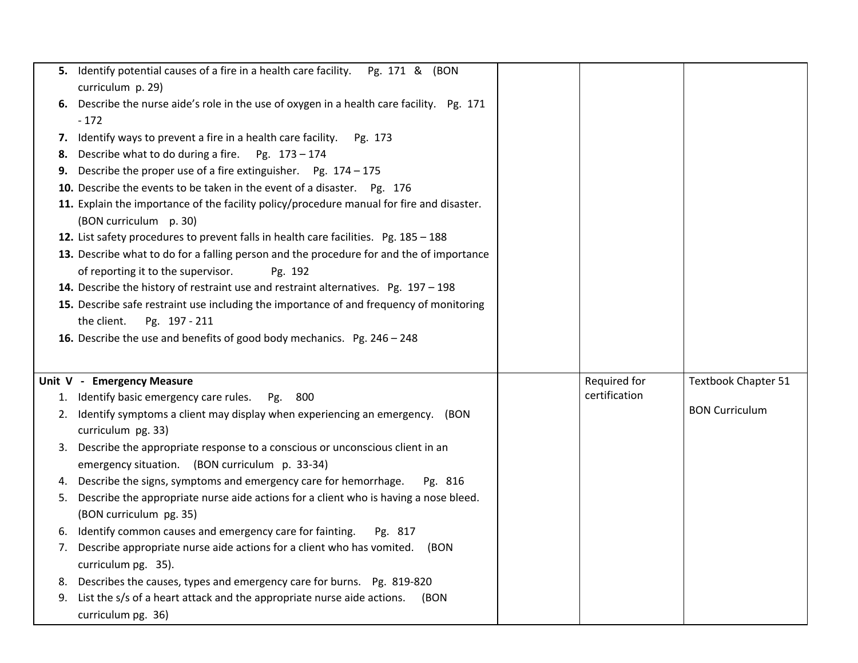|    | 5. Identify potential causes of a fire in a health care facility. Pg. 171 & (BON                     |               |                            |
|----|------------------------------------------------------------------------------------------------------|---------------|----------------------------|
|    | curriculum p. 29)                                                                                    |               |                            |
| 6. | Describe the nurse aide's role in the use of oxygen in a health care facility. Pg. 171               |               |                            |
|    | $-172$                                                                                               |               |                            |
| 7. | Identify ways to prevent a fire in a health care facility.  Pg. 173                                  |               |                            |
| 8. | Describe what to do during a fire.<br>Pg. 173-174                                                    |               |                            |
| 9. | Describe the proper use of a fire extinguisher. Pg. $174 - 175$                                      |               |                            |
|    | 10. Describe the events to be taken in the event of a disaster. Pg. 176                              |               |                            |
|    | 11. Explain the importance of the facility policy/procedure manual for fire and disaster.            |               |                            |
|    | (BON curriculum p. 30)                                                                               |               |                            |
|    | 12. List safety procedures to prevent falls in health care facilities. Pg. 185 - 188                 |               |                            |
|    | 13. Describe what to do for a falling person and the procedure for and the of importance             |               |                            |
|    | of reporting it to the supervisor.<br>Pg. 192                                                        |               |                            |
|    | 14. Describe the history of restraint use and restraint alternatives. Pg. $197 - 198$                |               |                            |
|    | 15. Describe safe restraint use including the importance of and frequency of monitoring              |               |                            |
|    | the client.<br>Pg. 197 - 211                                                                         |               |                            |
|    | 16. Describe the use and benefits of good body mechanics. Pg. 246 - 248                              |               |                            |
|    |                                                                                                      |               |                            |
|    |                                                                                                      |               |                            |
|    |                                                                                                      |               |                            |
|    | Unit V - Emergency Measure                                                                           | Required for  | <b>Textbook Chapter 51</b> |
|    | 1. Identify basic emergency care rules.<br>800<br>Pg.                                                | certification |                            |
|    | 2. Identify symptoms a client may display when experiencing an emergency. (BON                       |               | <b>BON Curriculum</b>      |
|    | curriculum pg. 33)                                                                                   |               |                            |
| 3. | Describe the appropriate response to a conscious or unconscious client in an                         |               |                            |
|    | emergency situation. (BON curriculum p. 33-34)                                                       |               |                            |
| 4. | Describe the signs, symptoms and emergency care for hemorrhage.<br>Pg. 816                           |               |                            |
| 5. | Describe the appropriate nurse aide actions for a client who is having a nose bleed.                 |               |                            |
|    | (BON curriculum pg. 35)                                                                              |               |                            |
| 6. | Identify common causes and emergency care for fainting.<br>Pg. 817                                   |               |                            |
| 7. | Describe appropriate nurse aide actions for a client who has vomited.<br>(BON                        |               |                            |
|    | curriculum pg. 35).                                                                                  |               |                            |
| 8. | Describes the causes, types and emergency care for burns. Pg. 819-820                                |               |                            |
| 9. | List the s/s of a heart attack and the appropriate nurse aide actions.<br>(BON<br>curriculum pg. 36) |               |                            |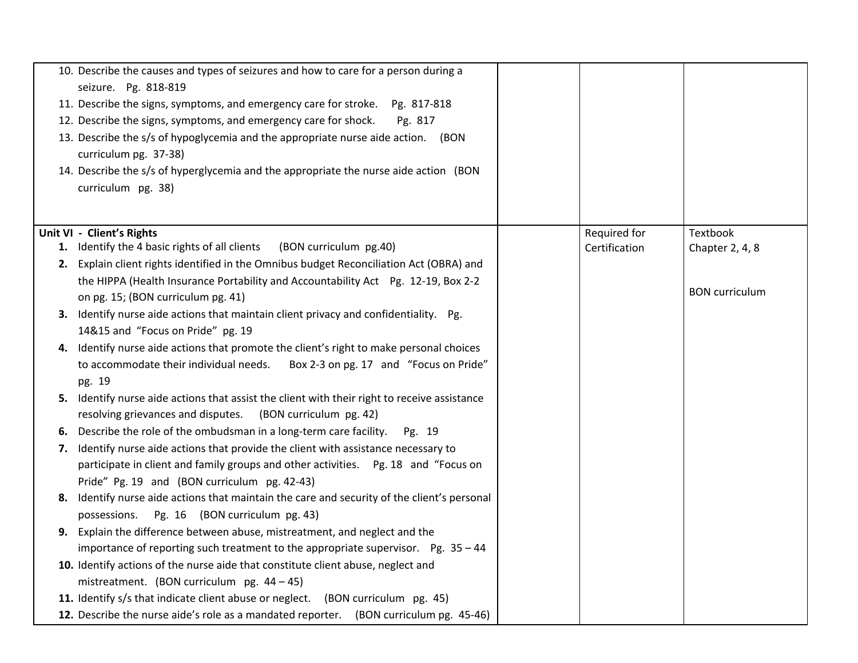| 10. Describe the causes and types of seizures and how to care for a person during a          |               |                       |
|----------------------------------------------------------------------------------------------|---------------|-----------------------|
| seizure. Pg. 818-819                                                                         |               |                       |
| 11. Describe the signs, symptoms, and emergency care for stroke. Pg. 817-818                 |               |                       |
| 12. Describe the signs, symptoms, and emergency care for shock.<br>Pg. 817                   |               |                       |
| 13. Describe the s/s of hypoglycemia and the appropriate nurse aide action. (BON             |               |                       |
| curriculum pg. 37-38)                                                                        |               |                       |
| 14. Describe the s/s of hyperglycemia and the appropriate the nurse aide action (BON         |               |                       |
| curriculum pg. 38)                                                                           |               |                       |
|                                                                                              |               |                       |
| Unit VI - Client's Rights                                                                    | Required for  | Textbook              |
| 1. Identify the 4 basic rights of all clients<br>(BON curriculum pg.40)                      | Certification | Chapter 2, 4, 8       |
| 2. Explain client rights identified in the Omnibus budget Reconciliation Act (OBRA) and      |               |                       |
| the HIPPA (Health Insurance Portability and Accountability Act Pg. 12-19, Box 2-2            |               |                       |
| on pg. 15; (BON curriculum pg. 41)                                                           |               | <b>BON</b> curriculum |
| 3. Identify nurse aide actions that maintain client privacy and confidentiality. Pg.         |               |                       |
| 14&15 and "Focus on Pride" pg. 19                                                            |               |                       |
| 4. Identify nurse aide actions that promote the client's right to make personal choices      |               |                       |
| to accommodate their individual needs.<br>Box 2-3 on pg. 17 and "Focus on Pride"             |               |                       |
| pg. 19                                                                                       |               |                       |
| 5. Identify nurse aide actions that assist the client with their right to receive assistance |               |                       |
| resolving grievances and disputes.<br>(BON curriculum pg. 42)                                |               |                       |
| 6. Describe the role of the ombudsman in a long-term care facility.<br>Pg. 19                |               |                       |
| 7. Identify nurse aide actions that provide the client with assistance necessary to          |               |                       |
| participate in client and family groups and other activities.  Pg. 18 and "Focus on          |               |                       |
| Pride" Pg. 19 and (BON curriculum pg. 42-43)                                                 |               |                       |
| 8. Identify nurse aide actions that maintain the care and security of the client's personal  |               |                       |
| possessions.<br>Pg. 16 (BON curriculum pg. 43)                                               |               |                       |
| 9. Explain the difference between abuse, mistreatment, and neglect and the                   |               |                       |
| importance of reporting such treatment to the appropriate supervisor. Pg. 35 - 44            |               |                       |
| 10. Identify actions of the nurse aide that constitute client abuse, neglect and             |               |                       |
| mistreatment. (BON curriculum pg. $44 - 45$ )                                                |               |                       |
| 11. Identify s/s that indicate client abuse or neglect.<br>(BON curriculum pg. 45)           |               |                       |
| 12. Describe the nurse aide's role as a mandated reporter. (BON curriculum pg. 45-46)        |               |                       |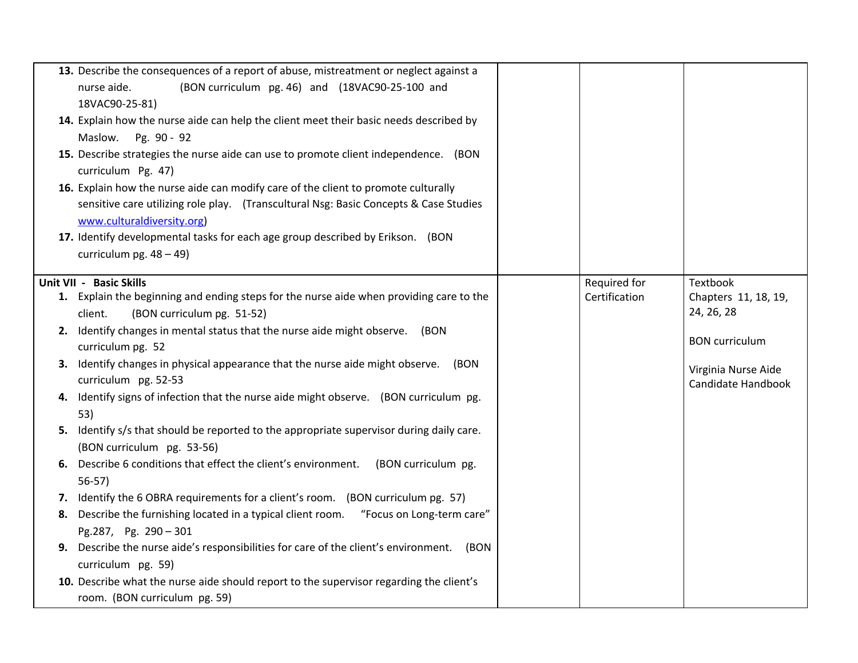|    | 13. Describe the consequences of a report of abuse, mistreatment or neglect against a    |               |                                    |
|----|------------------------------------------------------------------------------------------|---------------|------------------------------------|
|    | (BON curriculum pg. 46) and (18VAC90-25-100 and<br>nurse aide.                           |               |                                    |
|    | 18VAC90-25-81)                                                                           |               |                                    |
|    | 14. Explain how the nurse aide can help the client meet their basic needs described by   |               |                                    |
|    | Pg. 90 - 92<br>Maslow.                                                                   |               |                                    |
|    | 15. Describe strategies the nurse aide can use to promote client independence. (BON      |               |                                    |
|    | curriculum Pg. 47)                                                                       |               |                                    |
|    | 16. Explain how the nurse aide can modify care of the client to promote culturally       |               |                                    |
|    | sensitive care utilizing role play. (Transcultural Nsg: Basic Concepts & Case Studies    |               |                                    |
|    | www.culturaldiversity.org)                                                               |               |                                    |
|    | 17. Identify developmental tasks for each age group described by Erikson. (BON           |               |                                    |
|    | curriculum pg. $48 - 49$ )                                                               |               |                                    |
|    |                                                                                          |               |                                    |
|    | Unit VII - Basic Skills                                                                  | Required for  | Textbook                           |
|    | 1. Explain the beginning and ending steps for the nurse aide when providing care to the  | Certification | Chapters 11, 18, 19,<br>24, 26, 28 |
|    | (BON curriculum pg. 51-52)<br>client.                                                    |               |                                    |
|    | 2. Identify changes in mental status that the nurse aide might observe. (BON             |               | <b>BON</b> curriculum              |
|    | curriculum pg. 52                                                                        |               |                                    |
|    | 3. Identify changes in physical appearance that the nurse aide might observe. (BON       |               | Virginia Nurse Aide                |
|    | curriculum pg. 52-53                                                                     |               | Candidate Handbook                 |
| 4. | Identify signs of infection that the nurse aide might observe. (BON curriculum pg.       |               |                                    |
|    | 53)                                                                                      |               |                                    |
|    | 5. Identify s/s that should be reported to the appropriate supervisor during daily care. |               |                                    |
|    | (BON curriculum pg. 53-56)                                                               |               |                                    |
| 6. | Describe 6 conditions that effect the client's environment.<br>(BON curriculum pg.       |               |                                    |
|    | $56-57$                                                                                  |               |                                    |
|    | 7. Identify the 6 OBRA requirements for a client's room. (BON curriculum pg. 57)         |               |                                    |
| 8. | Describe the furnishing located in a typical client room. "Focus on Long-term care"      |               |                                    |
|    | Pg.287, Pg. 290 - 301                                                                    |               |                                    |
| 9. | Describe the nurse aide's responsibilities for care of the client's environment.<br>(BON |               |                                    |
|    | curriculum pg. 59)                                                                       |               |                                    |
|    | 10. Describe what the nurse aide should report to the supervisor regarding the client's  |               |                                    |
|    | room. (BON curriculum pg. 59)                                                            |               |                                    |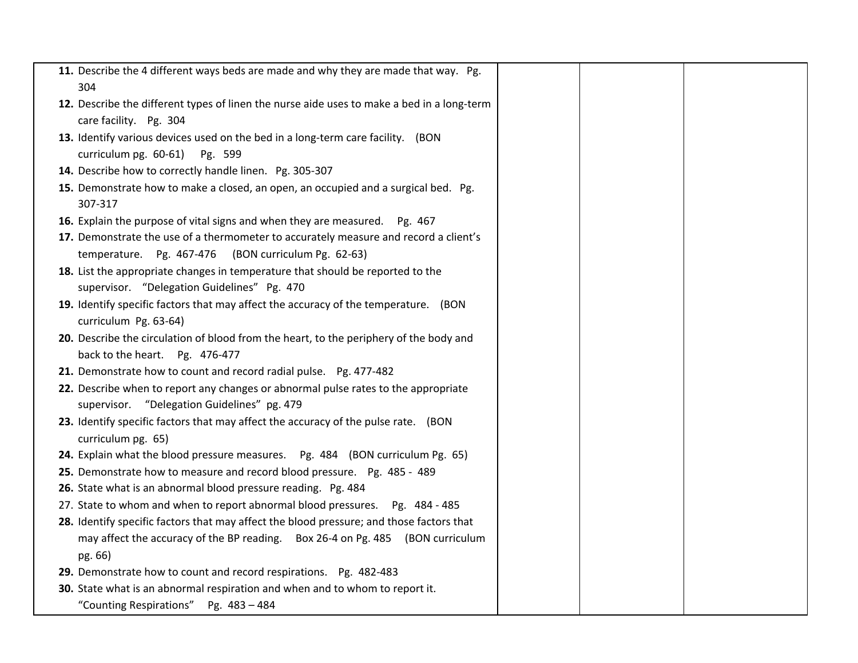| 11. Describe the 4 different ways beds are made and why they are made that way. Pg.           |  |  |
|-----------------------------------------------------------------------------------------------|--|--|
| 304                                                                                           |  |  |
| 12. Describe the different types of linen the nurse aide uses to make a bed in a long-term    |  |  |
| care facility. Pg. 304                                                                        |  |  |
| 13. Identify various devices used on the bed in a long-term care facility. (BON               |  |  |
| curriculum pg. 60-61)<br>Pg. 599                                                              |  |  |
| 14. Describe how to correctly handle linen. Pg. 305-307                                       |  |  |
| 15. Demonstrate how to make a closed, an open, an occupied and a surgical bed. Pg.<br>307-317 |  |  |
| 16. Explain the purpose of vital signs and when they are measured. Pg. 467                    |  |  |
| 17. Demonstrate the use of a thermometer to accurately measure and record a client's          |  |  |
| temperature. Pg. 467-476 (BON curriculum Pg. 62-63)                                           |  |  |
| 18. List the appropriate changes in temperature that should be reported to the                |  |  |
| supervisor. "Delegation Guidelines" Pg. 470                                                   |  |  |
| 19. Identify specific factors that may affect the accuracy of the temperature. (BON           |  |  |
| curriculum Pg. 63-64)                                                                         |  |  |
| 20. Describe the circulation of blood from the heart, to the periphery of the body and        |  |  |
| back to the heart. Pg. 476-477                                                                |  |  |
| 21. Demonstrate how to count and record radial pulse. Pg. 477-482                             |  |  |
| 22. Describe when to report any changes or abnormal pulse rates to the appropriate            |  |  |
| supervisor. "Delegation Guidelines" pg. 479                                                   |  |  |
| 23. Identify specific factors that may affect the accuracy of the pulse rate. (BON            |  |  |
| curriculum pg. 65)                                                                            |  |  |
| 24. Explain what the blood pressure measures.  Pg. 484 (BON curriculum Pg. 65)                |  |  |
| 25. Demonstrate how to measure and record blood pressure. Pg. 485 - 489                       |  |  |
| 26. State what is an abnormal blood pressure reading. Pg. 484                                 |  |  |
| 27. State to whom and when to report abnormal blood pressures. Pg. 484 - 485                  |  |  |
| 28. Identify specific factors that may affect the blood pressure; and those factors that      |  |  |
| may affect the accuracy of the BP reading. Box 26-4 on Pg. 485 (BON curriculum                |  |  |
| pg. 66)                                                                                       |  |  |
| 29. Demonstrate how to count and record respirations. Pg. 482-483                             |  |  |
| 30. State what is an abnormal respiration and when and to whom to report it.                  |  |  |
| "Counting Respirations" Pg. 483 - 484                                                         |  |  |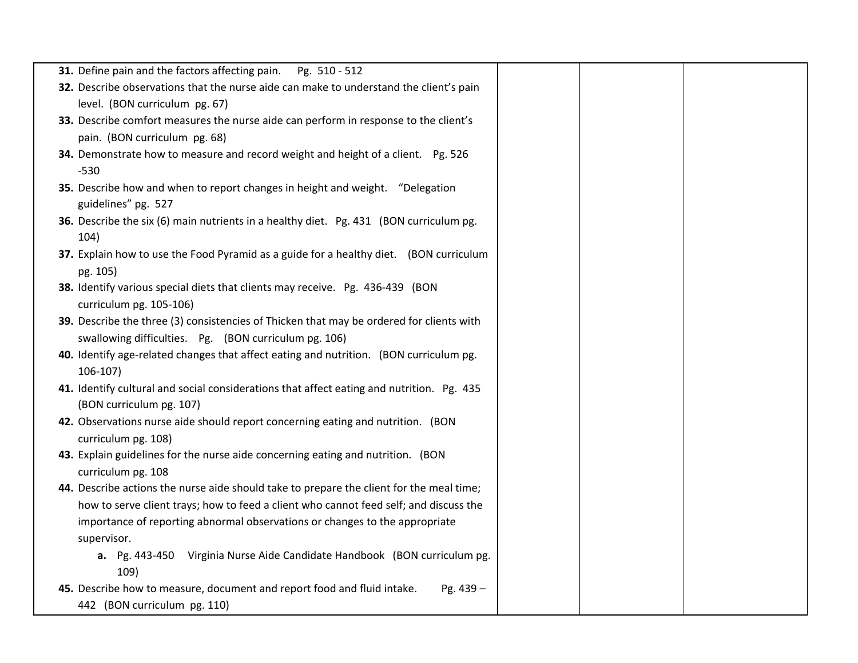| 31. Define pain and the factors affecting pain.<br>Pg. 510 - 512                          |  |  |
|-------------------------------------------------------------------------------------------|--|--|
| 32. Describe observations that the nurse aide can make to understand the client's pain    |  |  |
| level. (BON curriculum pg. 67)                                                            |  |  |
| 33. Describe comfort measures the nurse aide can perform in response to the client's      |  |  |
| pain. (BON curriculum pg. 68)                                                             |  |  |
| 34. Demonstrate how to measure and record weight and height of a client. Pg. 526          |  |  |
| $-530$                                                                                    |  |  |
| 35. Describe how and when to report changes in height and weight. "Delegation             |  |  |
| guidelines" pg. 527                                                                       |  |  |
| 36. Describe the six (6) main nutrients in a healthy diet. Pg. 431 (BON curriculum pg.    |  |  |
| 104)                                                                                      |  |  |
| 37. Explain how to use the Food Pyramid as a guide for a healthy diet. (BON curriculum    |  |  |
| pg. 105)                                                                                  |  |  |
| 38. Identify various special diets that clients may receive. Pg. 436-439 (BON             |  |  |
| curriculum pg. 105-106)                                                                   |  |  |
| 39. Describe the three (3) consistencies of Thicken that may be ordered for clients with  |  |  |
| swallowing difficulties. Pg. (BON curriculum pg. 106)                                     |  |  |
| 40. Identify age-related changes that affect eating and nutrition. (BON curriculum pg.    |  |  |
| $106-107$                                                                                 |  |  |
| 41. Identify cultural and social considerations that affect eating and nutrition. Pg. 435 |  |  |
| (BON curriculum pg. 107)                                                                  |  |  |
| 42. Observations nurse aide should report concerning eating and nutrition. (BON           |  |  |
| curriculum pg. 108)                                                                       |  |  |
| 43. Explain guidelines for the nurse aide concerning eating and nutrition. (BON           |  |  |
| curriculum pg. 108                                                                        |  |  |
| 44. Describe actions the nurse aide should take to prepare the client for the meal time;  |  |  |
| how to serve client trays; how to feed a client who cannot feed self; and discuss the     |  |  |
| importance of reporting abnormal observations or changes to the appropriate               |  |  |
| supervisor.                                                                               |  |  |
| a. Pg. 443-450 Virginia Nurse Aide Candidate Handbook (BON curriculum pg.                 |  |  |
| 109)                                                                                      |  |  |
| 45. Describe how to measure, document and report food and fluid intake.<br>Pg. 439 -      |  |  |
| 442 (BON curriculum pg. 110)                                                              |  |  |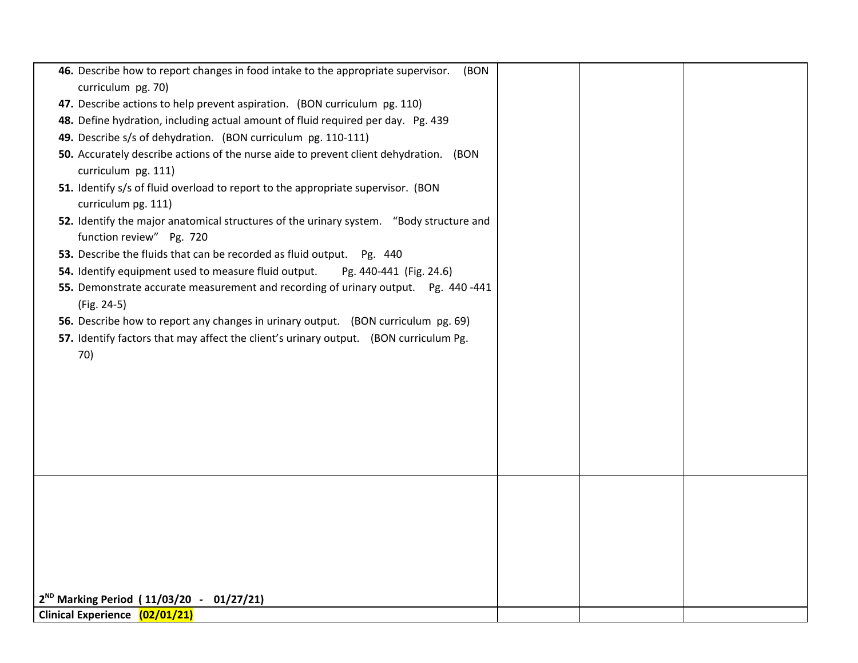| 46. Describe how to report changes in food intake to the appropriate supervisor.<br>(BON                            |  |  |
|---------------------------------------------------------------------------------------------------------------------|--|--|
| curriculum pg. 70)                                                                                                  |  |  |
| 47. Describe actions to help prevent aspiration. (BON curriculum pg. 110)                                           |  |  |
| 48. Define hydration, including actual amount of fluid required per day. Pg. 439                                    |  |  |
| 49. Describe s/s of dehydration. (BON curriculum pg. 110-111)                                                       |  |  |
| 50. Accurately describe actions of the nurse aide to prevent client dehydration. (BON<br>curriculum pg. 111)        |  |  |
| 51. Identify s/s of fluid overload to report to the appropriate supervisor. (BON<br>curriculum pg. 111)             |  |  |
| 52. Identify the major anatomical structures of the urinary system. "Body structure and<br>function review" Pg. 720 |  |  |
| 53. Describe the fluids that can be recorded as fluid output. Pg. 440                                               |  |  |
| 54. Identify equipment used to measure fluid output.<br>Pg. 440-441 (Fig. 24.6)                                     |  |  |
| 55. Demonstrate accurate measurement and recording of urinary output. Pg. 440-441                                   |  |  |
| (Fig. 24-5)                                                                                                         |  |  |
| 56. Describe how to report any changes in urinary output. (BON curriculum pg. 69)                                   |  |  |
| 57. Identify factors that may affect the client's urinary output. (BON curriculum Pg.                               |  |  |
| 70)                                                                                                                 |  |  |
|                                                                                                                     |  |  |
|                                                                                                                     |  |  |
|                                                                                                                     |  |  |
|                                                                                                                     |  |  |
|                                                                                                                     |  |  |
|                                                                                                                     |  |  |
|                                                                                                                     |  |  |
|                                                                                                                     |  |  |
|                                                                                                                     |  |  |
|                                                                                                                     |  |  |
|                                                                                                                     |  |  |
|                                                                                                                     |  |  |
|                                                                                                                     |  |  |
|                                                                                                                     |  |  |
| $2^{ND}$ Marking Period (11/03/20 - 01/27/21)<br>Clinical Experience (02/01/21)                                     |  |  |
|                                                                                                                     |  |  |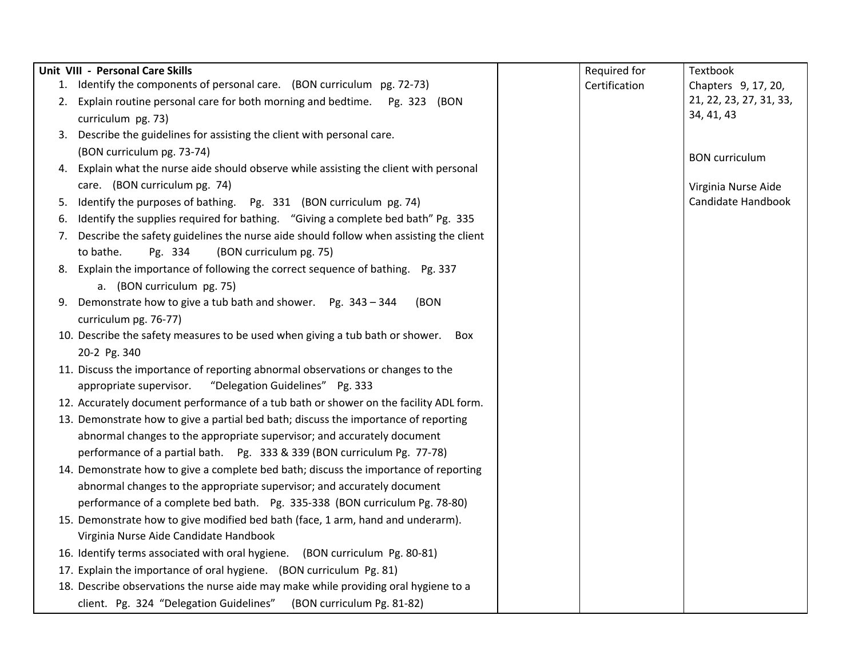|    | Unit VIII - Personal Care Skills                                                       | Required for  | Textbook                |
|----|----------------------------------------------------------------------------------------|---------------|-------------------------|
| 1. | Identify the components of personal care. (BON curriculum pg. 72-73)                   | Certification | Chapters 9, 17, 20,     |
| 2. | Explain routine personal care for both morning and bedtime. Pg. 323 (BON               |               | 21, 22, 23, 27, 31, 33, |
|    | curriculum pg. 73)                                                                     |               | 34, 41, 43              |
|    | 3. Describe the guidelines for assisting the client with personal care.                |               |                         |
|    | (BON curriculum pg. 73-74)                                                             |               | <b>BON</b> curriculum   |
|    | 4. Explain what the nurse aide should observe while assisting the client with personal |               |                         |
|    | care. (BON curriculum pg. 74)                                                          |               | Virginia Nurse Aide     |
| 5. | Identify the purposes of bathing. Pg. 331 (BON curriculum pg. 74)                      |               | Candidate Handbook      |
| 6. | Identify the supplies required for bathing. "Giving a complete bed bath" Pg. 335       |               |                         |
| 7. | Describe the safety guidelines the nurse aide should follow when assisting the client  |               |                         |
|    | to bathe.<br>(BON curriculum pg. 75)<br>Pg. 334                                        |               |                         |
| 8. | Explain the importance of following the correct sequence of bathing. Pg. 337           |               |                         |
|    | a. (BON curriculum pg. 75)                                                             |               |                         |
|    | 9. Demonstrate how to give a tub bath and shower. Pg. 343 - 344<br>(BON                |               |                         |
|    | curriculum pg. 76-77)                                                                  |               |                         |
|    | 10. Describe the safety measures to be used when giving a tub bath or shower. Box      |               |                         |
|    | 20-2 Pg. 340                                                                           |               |                         |
|    | 11. Discuss the importance of reporting abnormal observations or changes to the        |               |                         |
|    | "Delegation Guidelines" Pg. 333<br>appropriate supervisor.                             |               |                         |
|    | 12. Accurately document performance of a tub bath or shower on the facility ADL form.  |               |                         |
|    | 13. Demonstrate how to give a partial bed bath; discuss the importance of reporting    |               |                         |
|    | abnormal changes to the appropriate supervisor; and accurately document                |               |                         |
|    | performance of a partial bath.    Pg. 333 & 339 (BON curriculum Pg. 77-78)             |               |                         |
|    | 14. Demonstrate how to give a complete bed bath; discuss the importance of reporting   |               |                         |
|    | abnormal changes to the appropriate supervisor; and accurately document                |               |                         |
|    | performance of a complete bed bath. Pg. 335-338 (BON curriculum Pg. 78-80)             |               |                         |
|    | 15. Demonstrate how to give modified bed bath (face, 1 arm, hand and underarm).        |               |                         |
|    | Virginia Nurse Aide Candidate Handbook                                                 |               |                         |
|    | 16. Identify terms associated with oral hygiene. (BON curriculum Pg. 80-81)            |               |                         |
|    | 17. Explain the importance of oral hygiene. (BON curriculum Pg. 81)                    |               |                         |
|    | 18. Describe observations the nurse aide may make while providing oral hygiene to a    |               |                         |
|    | client. Pg. 324 "Delegation Guidelines"<br>(BON curriculum Pg. 81-82)                  |               |                         |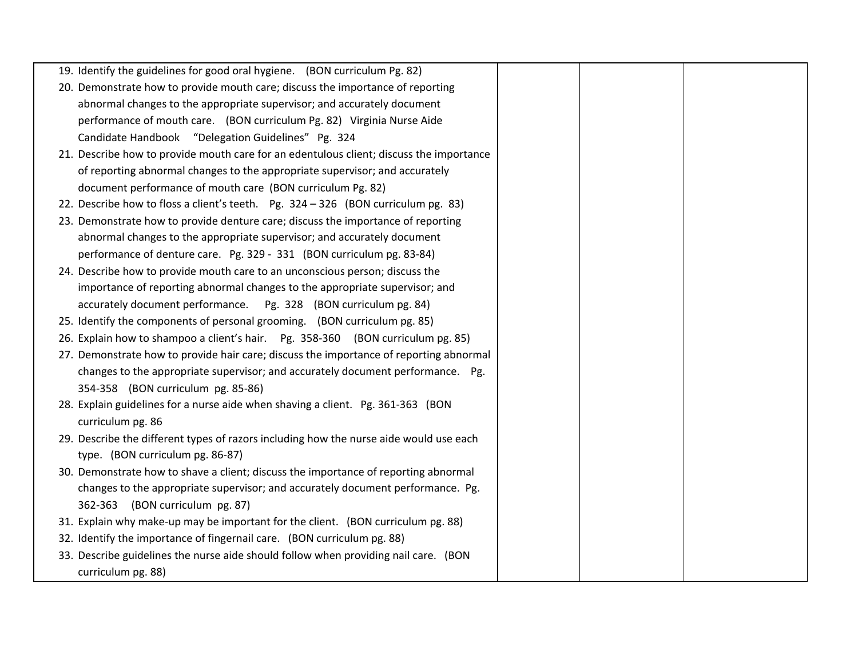| 19. Identify the guidelines for good oral hygiene. (BON curriculum Pg. 82)              |  |
|-----------------------------------------------------------------------------------------|--|
| 20. Demonstrate how to provide mouth care; discuss the importance of reporting          |  |
| abnormal changes to the appropriate supervisor; and accurately document                 |  |
| performance of mouth care. (BON curriculum Pg. 82) Virginia Nurse Aide                  |  |
| Candidate Handbook "Delegation Guidelines" Pg. 324                                      |  |
| 21. Describe how to provide mouth care for an edentulous client; discuss the importance |  |
| of reporting abnormal changes to the appropriate supervisor; and accurately             |  |
| document performance of mouth care (BON curriculum Pg. 82)                              |  |
| 22. Describe how to floss a client's teeth. Pg. 324 - 326 (BON curriculum pg. 83)       |  |
| 23. Demonstrate how to provide denture care; discuss the importance of reporting        |  |
| abnormal changes to the appropriate supervisor; and accurately document                 |  |
| performance of denture care. Pg. 329 - 331 (BON curriculum pg. 83-84)                   |  |
| 24. Describe how to provide mouth care to an unconscious person; discuss the            |  |
| importance of reporting abnormal changes to the appropriate supervisor; and             |  |
| accurately document performance.   Pg. 328 (BON curriculum pg. 84)                      |  |
| 25. Identify the components of personal grooming. (BON curriculum pg. 85)               |  |
| 26. Explain how to shampoo a client's hair. Pg. 358-360 (BON curriculum pg. 85)         |  |
| 27. Demonstrate how to provide hair care; discuss the importance of reporting abnormal  |  |
| changes to the appropriate supervisor; and accurately document performance. Pg.         |  |
| 354-358 (BON curriculum pg. 85-86)                                                      |  |
| 28. Explain guidelines for a nurse aide when shaving a client. Pg. 361-363 (BON         |  |
| curriculum pg. 86                                                                       |  |
| 29. Describe the different types of razors including how the nurse aide would use each  |  |
| type. (BON curriculum pg. 86-87)                                                        |  |
| 30. Demonstrate how to shave a client; discuss the importance of reporting abnormal     |  |
| changes to the appropriate supervisor; and accurately document performance. Pg.         |  |
| 362-363 (BON curriculum pg. 87)                                                         |  |
| 31. Explain why make-up may be important for the client. (BON curriculum pg. 88)        |  |
| 32. Identify the importance of fingernail care. (BON curriculum pg. 88)                 |  |
| 33. Describe guidelines the nurse aide should follow when providing nail care. (BON     |  |
| curriculum pg. 88)                                                                      |  |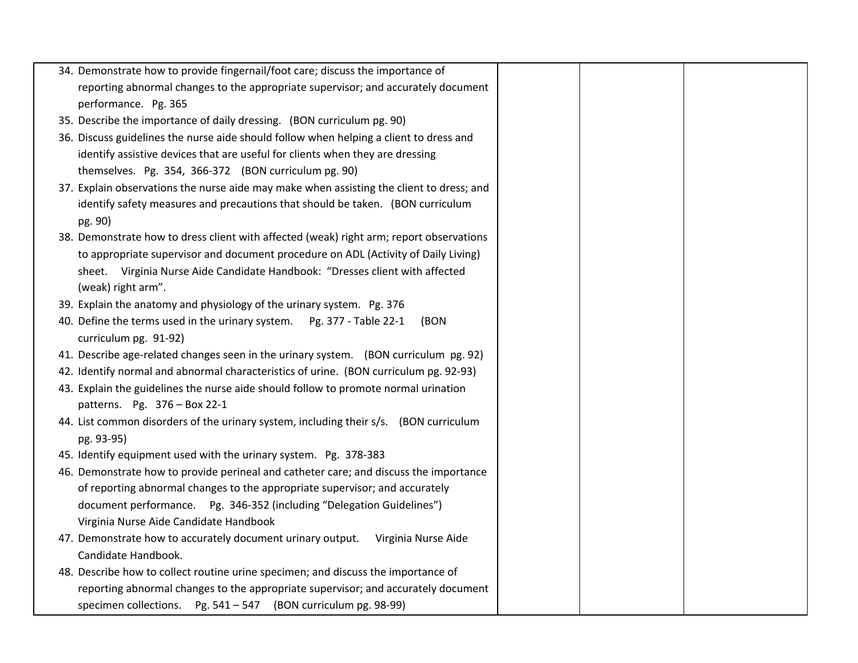| 34. Demonstrate how to provide fingernail/foot care; discuss the importance of           |  |  |
|------------------------------------------------------------------------------------------|--|--|
| reporting abnormal changes to the appropriate supervisor; and accurately document        |  |  |
| performance. Pg. 365                                                                     |  |  |
| 35. Describe the importance of daily dressing. (BON curriculum pg. 90)                   |  |  |
| 36. Discuss guidelines the nurse aide should follow when helping a client to dress and   |  |  |
| identify assistive devices that are useful for clients when they are dressing            |  |  |
| themselves. Pg. 354, 366-372 (BON curriculum pg. 90)                                     |  |  |
| 37. Explain observations the nurse aide may make when assisting the client to dress; and |  |  |
| identify safety measures and precautions that should be taken. (BON curriculum           |  |  |
| pg. 90)                                                                                  |  |  |
| 38. Demonstrate how to dress client with affected (weak) right arm; report observations  |  |  |
| to appropriate supervisor and document procedure on ADL (Activity of Daily Living)       |  |  |
| sheet. Virginia Nurse Aide Candidate Handbook: "Dresses client with affected             |  |  |
| (weak) right arm".                                                                       |  |  |
| 39. Explain the anatomy and physiology of the urinary system. Pg. 376                    |  |  |
| 40. Define the terms used in the urinary system.  Pg. 377 - Table 22-1<br>(BON           |  |  |
| curriculum pg. 91-92)                                                                    |  |  |
| 41. Describe age-related changes seen in the urinary system. (BON curriculum pg. 92)     |  |  |
| 42. Identify normal and abnormal characteristics of urine. (BON curriculum pg. 92-93)    |  |  |
| 43. Explain the guidelines the nurse aide should follow to promote normal urination      |  |  |
| patterns. Pg. 376 - Box 22-1                                                             |  |  |
| 44. List common disorders of the urinary system, including their s/s. (BON curriculum    |  |  |
| pg. 93-95)                                                                               |  |  |
| 45. Identify equipment used with the urinary system. Pg. 378-383                         |  |  |
| 46. Demonstrate how to provide perineal and catheter care; and discuss the importance    |  |  |
| of reporting abnormal changes to the appropriate supervisor; and accurately              |  |  |
| document performance.  Pg. 346-352 (including "Delegation Guidelines")                   |  |  |
| Virginia Nurse Aide Candidate Handbook                                                   |  |  |
| 47. Demonstrate how to accurately document urinary output.<br>Virginia Nurse Aide        |  |  |
| Candidate Handbook.                                                                      |  |  |
| 48. Describe how to collect routine urine specimen; and discuss the importance of        |  |  |
| reporting abnormal changes to the appropriate supervisor; and accurately document        |  |  |
| specimen collections. Pg. 541 - 547 (BON curriculum pg. 98-99)                           |  |  |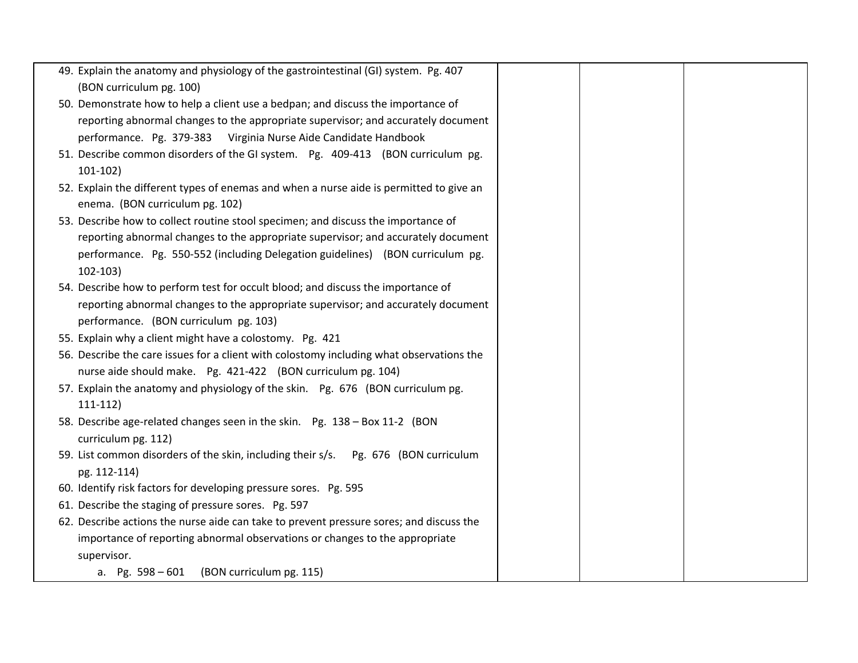| 49. Explain the anatomy and physiology of the gastrointestinal (GI) system. Pg. 407                                        |  |  |
|----------------------------------------------------------------------------------------------------------------------------|--|--|
| (BON curriculum pg. 100)                                                                                                   |  |  |
| 50. Demonstrate how to help a client use a bedpan; and discuss the importance of                                           |  |  |
| reporting abnormal changes to the appropriate supervisor; and accurately document                                          |  |  |
| performance. Pg. 379-383 Virginia Nurse Aide Candidate Handbook                                                            |  |  |
| 51. Describe common disorders of the GI system. Pg. 409-413 (BON curriculum pg.                                            |  |  |
| $101-102)$                                                                                                                 |  |  |
| 52. Explain the different types of enemas and when a nurse aide is permitted to give an<br>enema. (BON curriculum pg. 102) |  |  |
| 53. Describe how to collect routine stool specimen; and discuss the importance of                                          |  |  |
| reporting abnormal changes to the appropriate supervisor; and accurately document                                          |  |  |
| performance. Pg. 550-552 (including Delegation guidelines) (BON curriculum pg.                                             |  |  |
| $102 - 103$                                                                                                                |  |  |
| 54. Describe how to perform test for occult blood; and discuss the importance of                                           |  |  |
| reporting abnormal changes to the appropriate supervisor; and accurately document                                          |  |  |
| performance. (BON curriculum pg. 103)                                                                                      |  |  |
| 55. Explain why a client might have a colostomy. Pg. 421                                                                   |  |  |
| 56. Describe the care issues for a client with colostomy including what observations the                                   |  |  |
| nurse aide should make. Pg. 421-422 (BON curriculum pg. 104)                                                               |  |  |
| 57. Explain the anatomy and physiology of the skin. Pg. 676 (BON curriculum pg.                                            |  |  |
| $111-112)$                                                                                                                 |  |  |
| 58. Describe age-related changes seen in the skin. Pg. 138 - Box 11-2 (BON                                                 |  |  |
| curriculum pg. 112)                                                                                                        |  |  |
| 59. List common disorders of the skin, including their s/s. Pg. 676 (BON curriculum                                        |  |  |
| pg. 112-114)                                                                                                               |  |  |
| 60. Identify risk factors for developing pressure sores. Pg. 595                                                           |  |  |
| 61. Describe the staging of pressure sores. Pg. 597                                                                        |  |  |
| 62. Describe actions the nurse aide can take to prevent pressure sores; and discuss the                                    |  |  |
| importance of reporting abnormal observations or changes to the appropriate                                                |  |  |
| supervisor.                                                                                                                |  |  |
| a. Pg. 598 - 601 (BON curriculum pg. 115)                                                                                  |  |  |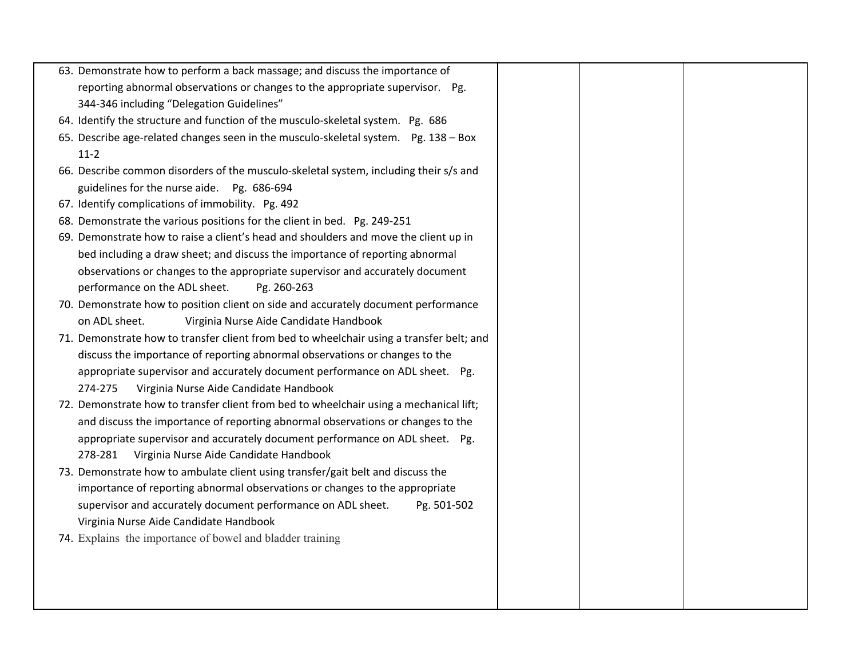|  | 63. Demonstrate how to perform a back massage; and discuss the importance of             |  |  |
|--|------------------------------------------------------------------------------------------|--|--|
|  | reporting abnormal observations or changes to the appropriate supervisor. Pg.            |  |  |
|  | 344-346 including "Delegation Guidelines"                                                |  |  |
|  | 64. Identify the structure and function of the musculo-skeletal system. Pg. 686          |  |  |
|  | 65. Describe age-related changes seen in the musculo-skeletal system. Pg. 138 - Box      |  |  |
|  | $11-2$                                                                                   |  |  |
|  | 66. Describe common disorders of the musculo-skeletal system, including their s/s and    |  |  |
|  | guidelines for the nurse aide. Pg. 686-694                                               |  |  |
|  | 67. Identify complications of immobility. Pg. 492                                        |  |  |
|  | 68. Demonstrate the various positions for the client in bed. Pg. 249-251                 |  |  |
|  | 69. Demonstrate how to raise a client's head and shoulders and move the client up in     |  |  |
|  | bed including a draw sheet; and discuss the importance of reporting abnormal             |  |  |
|  | observations or changes to the appropriate supervisor and accurately document            |  |  |
|  | performance on the ADL sheet.<br>Pg. 260-263                                             |  |  |
|  | 70. Demonstrate how to position client on side and accurately document performance       |  |  |
|  | on ADL sheet.<br>Virginia Nurse Aide Candidate Handbook                                  |  |  |
|  | 71. Demonstrate how to transfer client from bed to wheelchair using a transfer belt; and |  |  |
|  | discuss the importance of reporting abnormal observations or changes to the              |  |  |
|  | appropriate supervisor and accurately document performance on ADL sheet. Pg.             |  |  |
|  | Virginia Nurse Aide Candidate Handbook<br>274-275                                        |  |  |
|  | 72. Demonstrate how to transfer client from bed to wheelchair using a mechanical lift;   |  |  |
|  | and discuss the importance of reporting abnormal observations or changes to the          |  |  |
|  | appropriate supervisor and accurately document performance on ADL sheet. Pg.             |  |  |
|  | Virginia Nurse Aide Candidate Handbook<br>278-281                                        |  |  |
|  | 73. Demonstrate how to ambulate client using transfer/gait belt and discuss the          |  |  |
|  | importance of reporting abnormal observations or changes to the appropriate              |  |  |
|  | supervisor and accurately document performance on ADL sheet.<br>Pg. 501-502              |  |  |
|  | Virginia Nurse Aide Candidate Handbook                                                   |  |  |
|  | 74. Explains the importance of bowel and bladder training                                |  |  |
|  |                                                                                          |  |  |
|  |                                                                                          |  |  |
|  |                                                                                          |  |  |
|  |                                                                                          |  |  |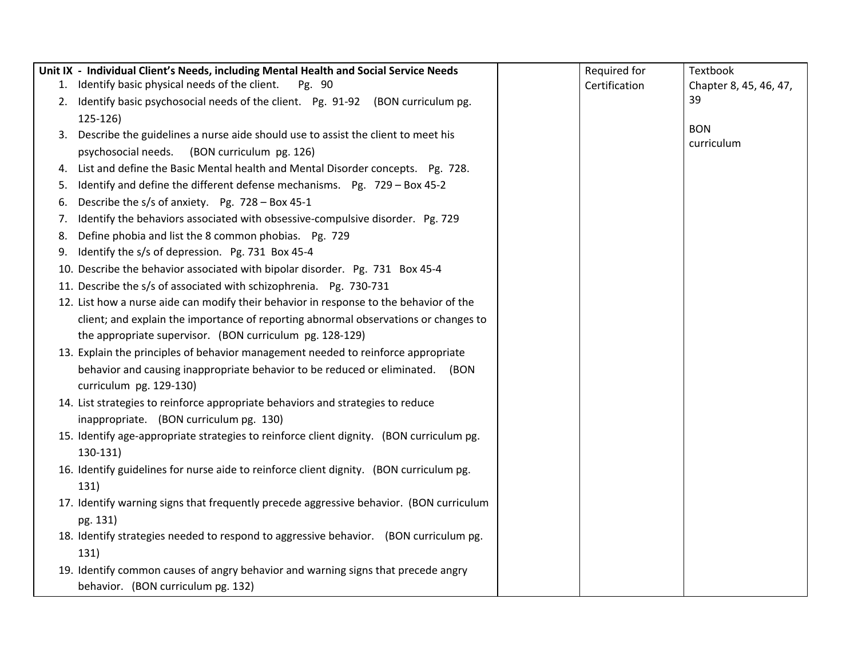|    | Unit IX - Individual Client's Needs, including Mental Health and Social Service Needs    | Required for  | Textbook                 |
|----|------------------------------------------------------------------------------------------|---------------|--------------------------|
|    | 1. Identify basic physical needs of the client.<br>Pg. 90                                | Certification | Chapter 8, 45, 46, 47,   |
|    | 2. Identify basic psychosocial needs of the client. Pg. 91-92 (BON curriculum pg.        |               | 39                       |
|    | 125-126)                                                                                 |               |                          |
|    | 3. Describe the guidelines a nurse aide should use to assist the client to meet his      |               | <b>BON</b><br>curriculum |
|    | psychosocial needs.<br>(BON curriculum pg. 126)                                          |               |                          |
|    | 4. List and define the Basic Mental health and Mental Disorder concepts. Pg. 728.        |               |                          |
| 5. | Identify and define the different defense mechanisms. Pg. 729 - Box 45-2                 |               |                          |
| 6. | Describe the s/s of anxiety. Pg. 728 - Box 45-1                                          |               |                          |
| 7. | Identify the behaviors associated with obsessive-compulsive disorder. Pg. 729            |               |                          |
| 8. | Define phobia and list the 8 common phobias. Pg. 729                                     |               |                          |
| 9. | Identify the s/s of depression. Pg. 731 Box 45-4                                         |               |                          |
|    | 10. Describe the behavior associated with bipolar disorder. Pg. 731 Box 45-4             |               |                          |
|    | 11. Describe the s/s of associated with schizophrenia. Pg. 730-731                       |               |                          |
|    | 12. List how a nurse aide can modify their behavior in response to the behavior of the   |               |                          |
|    | client; and explain the importance of reporting abnormal observations or changes to      |               |                          |
|    | the appropriate supervisor. (BON curriculum pg. 128-129)                                 |               |                          |
|    | 13. Explain the principles of behavior management needed to reinforce appropriate        |               |                          |
|    | behavior and causing inappropriate behavior to be reduced or eliminated. (BON            |               |                          |
|    | curriculum pg. 129-130)                                                                  |               |                          |
|    | 14. List strategies to reinforce appropriate behaviors and strategies to reduce          |               |                          |
|    | inappropriate. (BON curriculum pg. 130)                                                  |               |                          |
|    | 15. Identify age-appropriate strategies to reinforce client dignity. (BON curriculum pg. |               |                          |
|    | 130-131)                                                                                 |               |                          |
|    | 16. Identify guidelines for nurse aide to reinforce client dignity. (BON curriculum pg.  |               |                          |
|    | 131)                                                                                     |               |                          |
|    | 17. Identify warning signs that frequently precede aggressive behavior. (BON curriculum  |               |                          |
|    | pg. 131)                                                                                 |               |                          |
|    | 18. Identify strategies needed to respond to aggressive behavior. (BON curriculum pg.    |               |                          |
|    | 131)                                                                                     |               |                          |
|    | 19. Identify common causes of angry behavior and warning signs that precede angry        |               |                          |
|    | behavior. (BON curriculum pg. 132)                                                       |               |                          |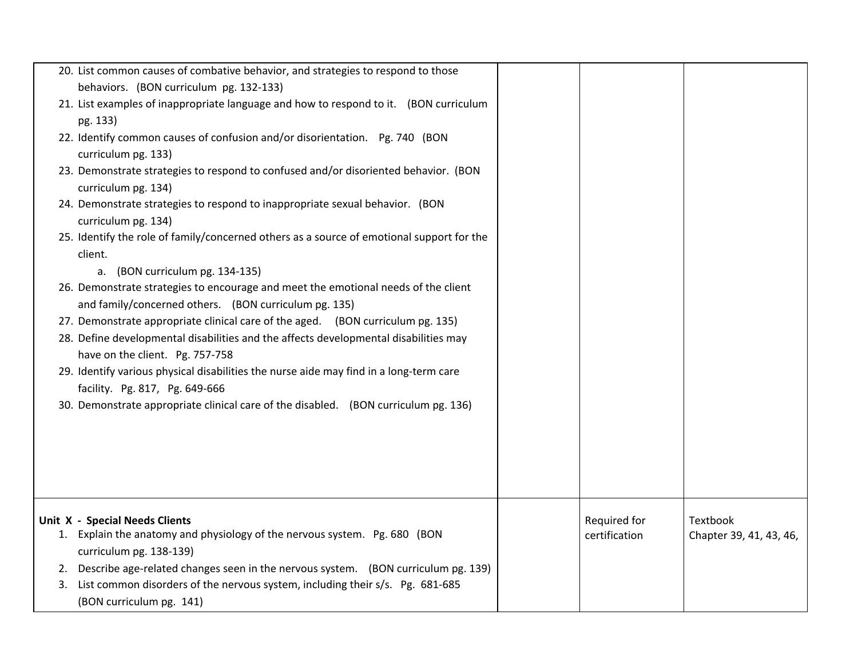|    | 20. List common causes of combative behavior, and strategies to respond to those                                                            |               |                         |
|----|---------------------------------------------------------------------------------------------------------------------------------------------|---------------|-------------------------|
|    | behaviors. (BON curriculum pg. 132-133)<br>21. List examples of inappropriate language and how to respond to it. (BON curriculum            |               |                         |
|    | pg. 133)                                                                                                                                    |               |                         |
|    | 22. Identify common causes of confusion and/or disorientation. Pg. 740 (BON<br>curriculum pg. 133)                                          |               |                         |
|    | 23. Demonstrate strategies to respond to confused and/or disoriented behavior. (BON<br>curriculum pg. 134)                                  |               |                         |
|    | 24. Demonstrate strategies to respond to inappropriate sexual behavior. (BON<br>curriculum pg. 134)                                         |               |                         |
|    | 25. Identify the role of family/concerned others as a source of emotional support for the<br>client.                                        |               |                         |
|    | (BON curriculum pg. 134-135)<br>a.                                                                                                          |               |                         |
|    | 26. Demonstrate strategies to encourage and meet the emotional needs of the client<br>and family/concerned others. (BON curriculum pg. 135) |               |                         |
|    | 27. Demonstrate appropriate clinical care of the aged. (BON curriculum pg. 135)                                                             |               |                         |
|    | 28. Define developmental disabilities and the affects developmental disabilities may                                                        |               |                         |
|    | have on the client. Pg. 757-758                                                                                                             |               |                         |
|    | 29. Identify various physical disabilities the nurse aide may find in a long-term care                                                      |               |                         |
|    | facility. Pg. 817, Pg. 649-666                                                                                                              |               |                         |
|    | 30. Demonstrate appropriate clinical care of the disabled. (BON curriculum pg. 136)                                                         |               |                         |
|    |                                                                                                                                             |               |                         |
|    |                                                                                                                                             |               |                         |
|    |                                                                                                                                             |               |                         |
|    |                                                                                                                                             |               |                         |
|    | <b>Unit X - Special Needs Clients</b>                                                                                                       | Required for  | Textbook                |
|    | 1. Explain the anatomy and physiology of the nervous system. Pg. 680 (BON                                                                   | certification | Chapter 39, 41, 43, 46, |
|    | curriculum pg. 138-139)                                                                                                                     |               |                         |
| 2. | Describe age-related changes seen in the nervous system. (BON curriculum pg. 139)                                                           |               |                         |
| 3. | List common disorders of the nervous system, including their s/s. Pg. 681-685                                                               |               |                         |
|    | (BON curriculum pg. 141)                                                                                                                    |               |                         |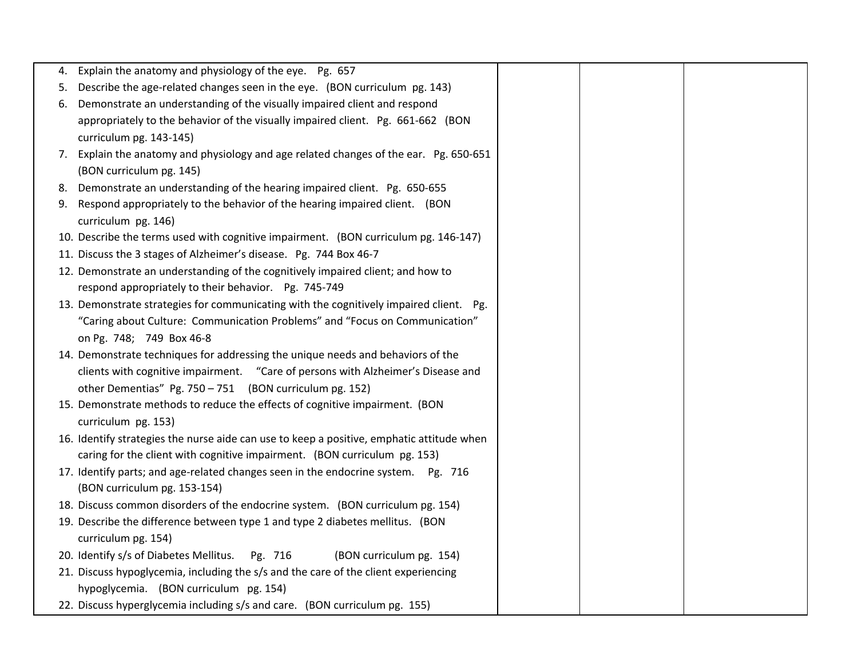| 4. Explain the anatomy and physiology of the eye. Pg. 657                                 |  |  |
|-------------------------------------------------------------------------------------------|--|--|
| 5. Describe the age-related changes seen in the eye. (BON curriculum pg. 143)             |  |  |
| 6. Demonstrate an understanding of the visually impaired client and respond               |  |  |
| appropriately to the behavior of the visually impaired client. Pg. 661-662 (BON           |  |  |
| curriculum pg. 143-145)                                                                   |  |  |
| 7. Explain the anatomy and physiology and age related changes of the ear. Pg. 650-651     |  |  |
| (BON curriculum pg. 145)                                                                  |  |  |
| 8. Demonstrate an understanding of the hearing impaired client. Pg. 650-655               |  |  |
| 9. Respond appropriately to the behavior of the hearing impaired client. (BON             |  |  |
| curriculum pg. 146)                                                                       |  |  |
| 10. Describe the terms used with cognitive impairment. (BON curriculum pg. 146-147)       |  |  |
| 11. Discuss the 3 stages of Alzheimer's disease. Pg. 744 Box 46-7                         |  |  |
| 12. Demonstrate an understanding of the cognitively impaired client; and how to           |  |  |
| respond appropriately to their behavior. Pg. 745-749                                      |  |  |
| 13. Demonstrate strategies for communicating with the cognitively impaired client. Pg.    |  |  |
| "Caring about Culture: Communication Problems" and "Focus on Communication"               |  |  |
| on Pg. 748; 749 Box 46-8                                                                  |  |  |
| 14. Demonstrate techniques for addressing the unique needs and behaviors of the           |  |  |
| clients with cognitive impairment. "Care of persons with Alzheimer's Disease and          |  |  |
| other Dementias" Pg. 750 - 751 (BON curriculum pg. 152)                                   |  |  |
| 15. Demonstrate methods to reduce the effects of cognitive impairment. (BON               |  |  |
| curriculum pg. 153)                                                                       |  |  |
| 16. Identify strategies the nurse aide can use to keep a positive, emphatic attitude when |  |  |
| caring for the client with cognitive impairment. (BON curriculum pg. 153)                 |  |  |
| 17. Identify parts; and age-related changes seen in the endocrine system. Pg. 716         |  |  |
| (BON curriculum pg. 153-154)                                                              |  |  |
| 18. Discuss common disorders of the endocrine system. (BON curriculum pg. 154)            |  |  |
| 19. Describe the difference between type 1 and type 2 diabetes mellitus. (BON             |  |  |
| curriculum pg. 154)                                                                       |  |  |
| 20. Identify s/s of Diabetes Mellitus.<br>(BON curriculum pg. 154)<br>Pg. 716             |  |  |
| 21. Discuss hypoglycemia, including the s/s and the care of the client experiencing       |  |  |
| hypoglycemia. (BON curriculum pg. 154)                                                    |  |  |
| 22. Discuss hyperglycemia including s/s and care. (BON curriculum pg. 155)                |  |  |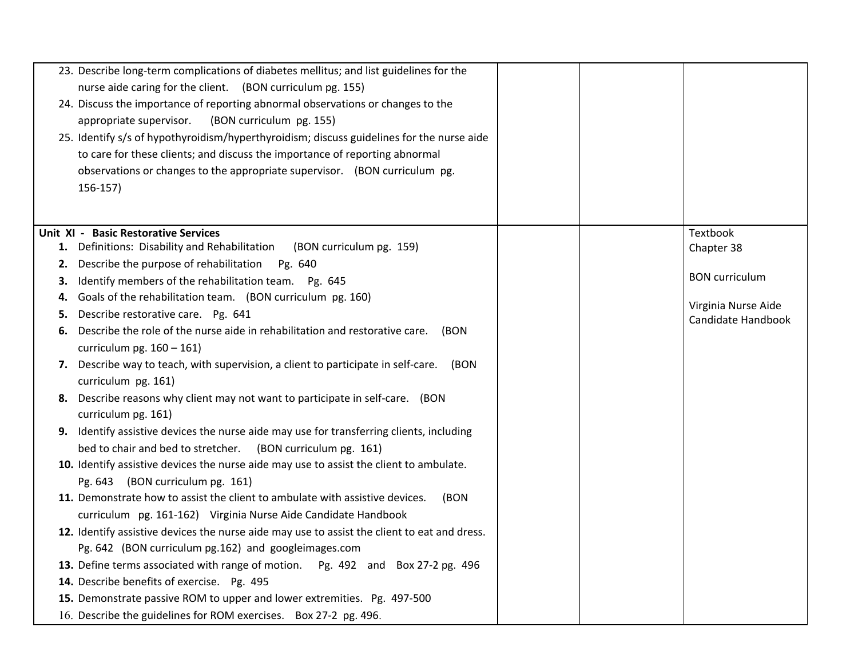|    | 23. Describe long-term complications of diabetes mellitus; and list guidelines for the       |  |                       |
|----|----------------------------------------------------------------------------------------------|--|-----------------------|
|    | nurse aide caring for the client. (BON curriculum pg. 155)                                   |  |                       |
|    | 24. Discuss the importance of reporting abnormal observations or changes to the              |  |                       |
|    | appropriate supervisor.<br>(BON curriculum pg. 155)                                          |  |                       |
|    | 25. Identify s/s of hypothyroidism/hyperthyroidism; discuss guidelines for the nurse aide    |  |                       |
|    | to care for these clients; and discuss the importance of reporting abnormal                  |  |                       |
|    | observations or changes to the appropriate supervisor. (BON curriculum pg.                   |  |                       |
|    | $156-157$                                                                                    |  |                       |
|    |                                                                                              |  |                       |
|    | Unit XI - Basic Restorative Services                                                         |  | Textbook              |
|    | 1. Definitions: Disability and Rehabilitation<br>(BON curriculum pg. 159)                    |  | Chapter 38            |
| 2. | Describe the purpose of rehabilitation<br>Pg. 640                                            |  |                       |
| З. | Identify members of the rehabilitation team. Pg. 645                                         |  | <b>BON</b> curriculum |
| 4. | Goals of the rehabilitation team. (BON curriculum pg. 160)                                   |  | Virginia Nurse Aide   |
| 5. | Describe restorative care. Pg. 641                                                           |  | Candidate Handbook    |
| 6. | Describe the role of the nurse aide in rehabilitation and restorative care. (BON             |  |                       |
|    | curriculum pg. $160 - 161$ )                                                                 |  |                       |
|    | 7. Describe way to teach, with supervision, a client to participate in self-care.<br>(BON    |  |                       |
|    | curriculum pg. 161)                                                                          |  |                       |
|    | 8. Describe reasons why client may not want to participate in self-care. (BON                |  |                       |
|    | curriculum pg. 161)                                                                          |  |                       |
|    | 9. Identify assistive devices the nurse aide may use for transferring clients, including     |  |                       |
|    | bed to chair and bed to stretcher. (BON curriculum pg. 161)                                  |  |                       |
|    | 10. Identify assistive devices the nurse aide may use to assist the client to ambulate.      |  |                       |
|    | Pg. 643 (BON curriculum pg. 161)                                                             |  |                       |
|    | 11. Demonstrate how to assist the client to ambulate with assistive devices.<br>(BON         |  |                       |
|    | curriculum pg. 161-162) Virginia Nurse Aide Candidate Handbook                               |  |                       |
|    | 12. Identify assistive devices the nurse aide may use to assist the client to eat and dress. |  |                       |
|    | Pg. 642 (BON curriculum pg. 162) and googleimages.com                                        |  |                       |
|    | 13. Define terms associated with range of motion. Pg. 492 and Box 27-2 pg. 496               |  |                       |
|    | 14. Describe benefits of exercise. Pg. 495                                                   |  |                       |
|    | 15. Demonstrate passive ROM to upper and lower extremities. Pg. 497-500                      |  |                       |
|    | 16. Describe the guidelines for ROM exercises. Box 27-2 pg. 496.                             |  |                       |
|    |                                                                                              |  |                       |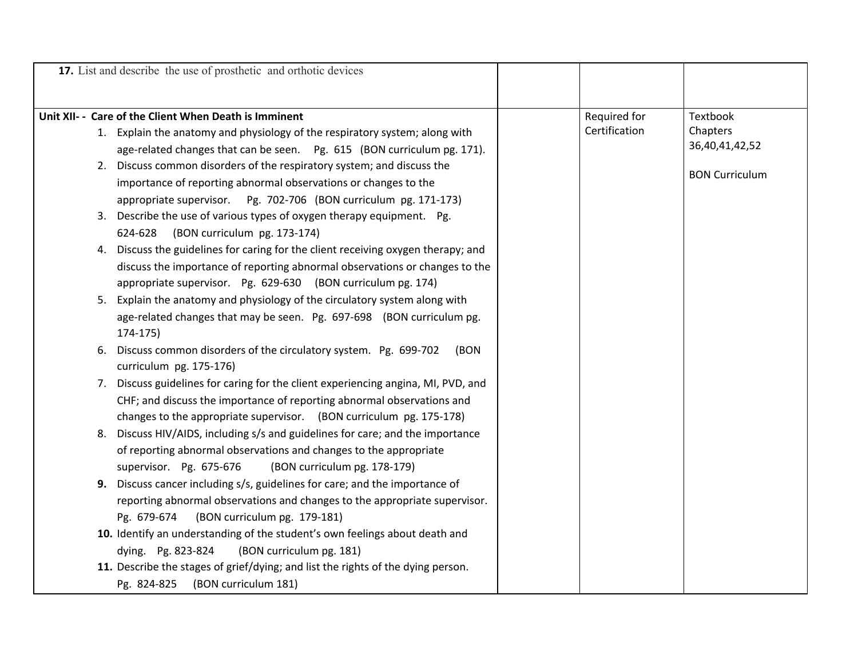|    | 17. List and describe the use of prosthetic and orthotic devices                 |               |                       |
|----|----------------------------------------------------------------------------------|---------------|-----------------------|
|    |                                                                                  |               |                       |
|    | Unit XII- - Care of the Client When Death is Imminent                            | Required for  | Textbook              |
|    | 1. Explain the anatomy and physiology of the respiratory system; along with      | Certification | Chapters              |
|    | age-related changes that can be seen. Pg. 615 (BON curriculum pg. 171).          |               | 36,40,41,42,52        |
| 2. | Discuss common disorders of the respiratory system; and discuss the              |               |                       |
|    | importance of reporting abnormal observations or changes to the                  |               | <b>BON Curriculum</b> |
|    | appropriate supervisor. Pg. 702-706 (BON curriculum pg. 171-173)                 |               |                       |
| 3. | Describe the use of various types of oxygen therapy equipment. Pg.               |               |                       |
|    | (BON curriculum pg. 173-174)<br>624-628                                          |               |                       |
| 4. | Discuss the guidelines for caring for the client receiving oxygen therapy; and   |               |                       |
|    | discuss the importance of reporting abnormal observations or changes to the      |               |                       |
|    | appropriate supervisor. Pg. 629-630 (BON curriculum pg. 174)                     |               |                       |
| 5. | Explain the anatomy and physiology of the circulatory system along with          |               |                       |
|    | age-related changes that may be seen. Pg. 697-698 (BON curriculum pg.            |               |                       |
|    | 174-175)                                                                         |               |                       |
| 6. | Discuss common disorders of the circulatory system. Pg. 699-702<br>(BON          |               |                       |
|    | curriculum pg. 175-176)                                                          |               |                       |
| 7. | Discuss guidelines for caring for the client experiencing angina, MI, PVD, and   |               |                       |
|    | CHF; and discuss the importance of reporting abnormal observations and           |               |                       |
|    | changes to the appropriate supervisor. (BON curriculum pg. 175-178)              |               |                       |
| 8. | Discuss HIV/AIDS, including s/s and guidelines for care; and the importance      |               |                       |
|    | of reporting abnormal observations and changes to the appropriate                |               |                       |
|    | supervisor. Pg. 675-676<br>(BON curriculum pg. 178-179)                          |               |                       |
| 9. | Discuss cancer including s/s, guidelines for care; and the importance of         |               |                       |
|    | reporting abnormal observations and changes to the appropriate supervisor.       |               |                       |
|    | Pg. 679-674<br>(BON curriculum pg. 179-181)                                      |               |                       |
|    | 10. Identify an understanding of the student's own feelings about death and      |               |                       |
|    | dying. Pg. 823-824<br>(BON curriculum pg. 181)                                   |               |                       |
|    | 11. Describe the stages of grief/dying; and list the rights of the dying person. |               |                       |
|    | (BON curriculum 181)<br>Pg. 824-825                                              |               |                       |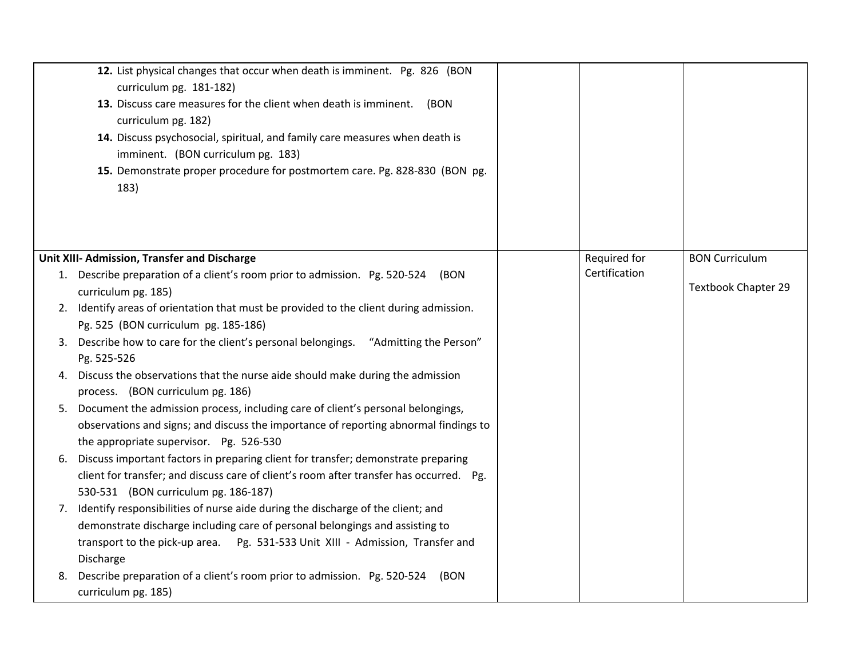|    | 12. List physical changes that occur when death is imminent. Pg. 826 (BON<br>curriculum pg. 181-182)<br>13. Discuss care measures for the client when death is imminent.<br>(BON<br>curriculum pg. 182)<br>14. Discuss psychosocial, spiritual, and family care measures when death is<br>imminent. (BON curriculum pg. 183)<br>15. Demonstrate proper procedure for postmortem care. Pg. 828-830 (BON pg.<br>183) |               |                            |
|----|--------------------------------------------------------------------------------------------------------------------------------------------------------------------------------------------------------------------------------------------------------------------------------------------------------------------------------------------------------------------------------------------------------------------|---------------|----------------------------|
|    | Unit XIII- Admission, Transfer and Discharge                                                                                                                                                                                                                                                                                                                                                                       | Required for  | <b>BON Curriculum</b>      |
|    | 1. Describe preparation of a client's room prior to admission. Pg. 520-524<br>(BON<br>curriculum pg. 185)                                                                                                                                                                                                                                                                                                          | Certification | <b>Textbook Chapter 29</b> |
|    | 2. Identify areas of orientation that must be provided to the client during admission.<br>Pg. 525 (BON curriculum pg. 185-186)                                                                                                                                                                                                                                                                                     |               |                            |
|    | 3. Describe how to care for the client's personal belongings. "Admitting the Person"<br>Pg. 525-526                                                                                                                                                                                                                                                                                                                |               |                            |
| 4. | Discuss the observations that the nurse aide should make during the admission<br>process. (BON curriculum pg. 186)                                                                                                                                                                                                                                                                                                 |               |                            |
|    | 5. Document the admission process, including care of client's personal belongings,<br>observations and signs; and discuss the importance of reporting abnormal findings to<br>the appropriate supervisor. Pg. 526-530                                                                                                                                                                                              |               |                            |
| 6. | Discuss important factors in preparing client for transfer; demonstrate preparing<br>client for transfer; and discuss care of client's room after transfer has occurred. Pg.<br>530-531 (BON curriculum pg. 186-187)                                                                                                                                                                                               |               |                            |
|    | 7. Identify responsibilities of nurse aide during the discharge of the client; and<br>demonstrate discharge including care of personal belongings and assisting to<br>transport to the pick-up area.  Pg. 531-533 Unit XIII - Admission, Transfer and<br>Discharge                                                                                                                                                 |               |                            |
| 8. | Describe preparation of a client's room prior to admission. Pg. 520-524<br>(BON<br>curriculum pg. 185)                                                                                                                                                                                                                                                                                                             |               |                            |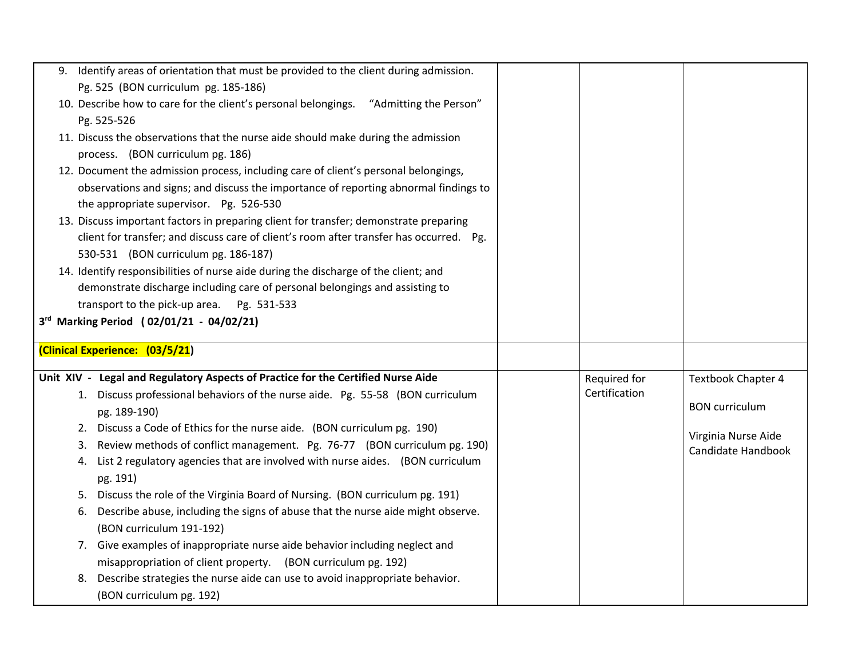| 9. Identify areas of orientation that must be provided to the client during admission.                        |               |                                           |
|---------------------------------------------------------------------------------------------------------------|---------------|-------------------------------------------|
| Pg. 525 (BON curriculum pg. 185-186)                                                                          |               |                                           |
| 10. Describe how to care for the client's personal belongings. "Admitting the Person"                         |               |                                           |
| Pg. 525-526                                                                                                   |               |                                           |
| 11. Discuss the observations that the nurse aide should make during the admission                             |               |                                           |
| process. (BON curriculum pg. 186)                                                                             |               |                                           |
| 12. Document the admission process, including care of client's personal belongings,                           |               |                                           |
| observations and signs; and discuss the importance of reporting abnormal findings to                          |               |                                           |
| the appropriate supervisor. Pg. 526-530                                                                       |               |                                           |
| 13. Discuss important factors in preparing client for transfer; demonstrate preparing                         |               |                                           |
| client for transfer; and discuss care of client's room after transfer has occurred. Pg.                       |               |                                           |
| 530-531 (BON curriculum pg. 186-187)                                                                          |               |                                           |
| 14. Identify responsibilities of nurse aide during the discharge of the client; and                           |               |                                           |
| demonstrate discharge including care of personal belongings and assisting to                                  |               |                                           |
| transport to the pick-up area. Pg. 531-533                                                                    |               |                                           |
| 3rd Marking Period (02/01/21 - 04/02/21)                                                                      |               |                                           |
|                                                                                                               |               |                                           |
|                                                                                                               |               |                                           |
| (Clinical Experience: (03/5/21)                                                                               |               |                                           |
| Unit XIV - Legal and Regulatory Aspects of Practice for the Certified Nurse Aide                              | Required for  | <b>Textbook Chapter 4</b>                 |
| 1. Discuss professional behaviors of the nurse aide. Pg. 55-58 (BON curriculum                                | Certification |                                           |
| pg. 189-190)                                                                                                  |               | <b>BON</b> curriculum                     |
| 2. Discuss a Code of Ethics for the nurse aide. (BON curriculum pg. 190)                                      |               |                                           |
| Review methods of conflict management. Pg. 76-77 (BON curriculum pg. 190)<br>3.                               |               | Virginia Nurse Aide<br>Candidate Handbook |
| List 2 regulatory agencies that are involved with nurse aides. (BON curriculum<br>4.                          |               |                                           |
| pg. 191)                                                                                                      |               |                                           |
| Discuss the role of the Virginia Board of Nursing. (BON curriculum pg. 191)<br>5.                             |               |                                           |
| Describe abuse, including the signs of abuse that the nurse aide might observe.<br>6.                         |               |                                           |
| (BON curriculum 191-192)                                                                                      |               |                                           |
| 7. Give examples of inappropriate nurse aide behavior including neglect and                                   |               |                                           |
| misappropriation of client property. (BON curriculum pg. 192)                                                 |               |                                           |
| Describe strategies the nurse aide can use to avoid inappropriate behavior.<br>8.<br>(BON curriculum pg. 192) |               |                                           |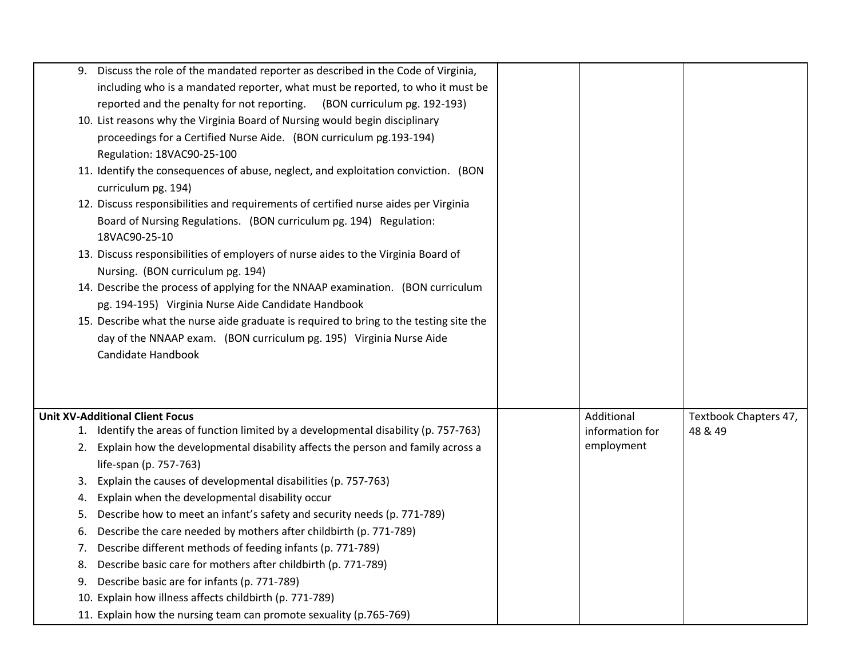| 9. | Discuss the role of the mandated reporter as described in the Code of Virginia,<br>including who is a mandated reporter, what must be reported, to who it must be |                 |                       |
|----|-------------------------------------------------------------------------------------------------------------------------------------------------------------------|-----------------|-----------------------|
|    | reported and the penalty for not reporting.<br>(BON curriculum pg. 192-193)                                                                                       |                 |                       |
|    | 10. List reasons why the Virginia Board of Nursing would begin disciplinary                                                                                       |                 |                       |
|    | proceedings for a Certified Nurse Aide. (BON curriculum pg.193-194)                                                                                               |                 |                       |
|    | Regulation: 18VAC90-25-100                                                                                                                                        |                 |                       |
|    | 11. Identify the consequences of abuse, neglect, and exploitation conviction. (BON                                                                                |                 |                       |
|    | curriculum pg. 194)                                                                                                                                               |                 |                       |
|    | 12. Discuss responsibilities and requirements of certified nurse aides per Virginia                                                                               |                 |                       |
|    | Board of Nursing Regulations. (BON curriculum pg. 194) Regulation:<br>18VAC90-25-10                                                                               |                 |                       |
|    | 13. Discuss responsibilities of employers of nurse aides to the Virginia Board of                                                                                 |                 |                       |
|    | Nursing. (BON curriculum pg. 194)                                                                                                                                 |                 |                       |
|    | 14. Describe the process of applying for the NNAAP examination. (BON curriculum                                                                                   |                 |                       |
|    | pg. 194-195) Virginia Nurse Aide Candidate Handbook                                                                                                               |                 |                       |
|    | 15. Describe what the nurse aide graduate is required to bring to the testing site the                                                                            |                 |                       |
|    | day of the NNAAP exam. (BON curriculum pg. 195) Virginia Nurse Aide                                                                                               |                 |                       |
|    | Candidate Handbook                                                                                                                                                |                 |                       |
|    |                                                                                                                                                                   |                 |                       |
|    |                                                                                                                                                                   |                 |                       |
|    | <b>Unit XV-Additional Client Focus</b>                                                                                                                            | Additional      | Textbook Chapters 47, |
|    | 1. Identify the areas of function limited by a developmental disability (p. 757-763)                                                                              | information for | 48 & 49               |
| 2. | Explain how the developmental disability affects the person and family across a                                                                                   | employment      |                       |
|    | life-span (p. 757-763)                                                                                                                                            |                 |                       |
| 3. | Explain the causes of developmental disabilities (p. 757-763)                                                                                                     |                 |                       |
| 4. | Explain when the developmental disability occur                                                                                                                   |                 |                       |
| 5. | Describe how to meet an infant's safety and security needs (p. 771-789)                                                                                           |                 |                       |
| 6. | Describe the care needed by mothers after childbirth (p. 771-789)                                                                                                 |                 |                       |
| 7. | Describe different methods of feeding infants (p. 771-789)                                                                                                        |                 |                       |
| 8. | Describe basic care for mothers after childbirth (p. 771-789)                                                                                                     |                 |                       |
|    | 9. Describe basic are for infants (p. 771-789)                                                                                                                    |                 |                       |
|    | 10. Explain how illness affects childbirth (p. 771-789)                                                                                                           |                 |                       |
|    | 11. Explain how the nursing team can promote sexuality (p.765-769)                                                                                                |                 |                       |